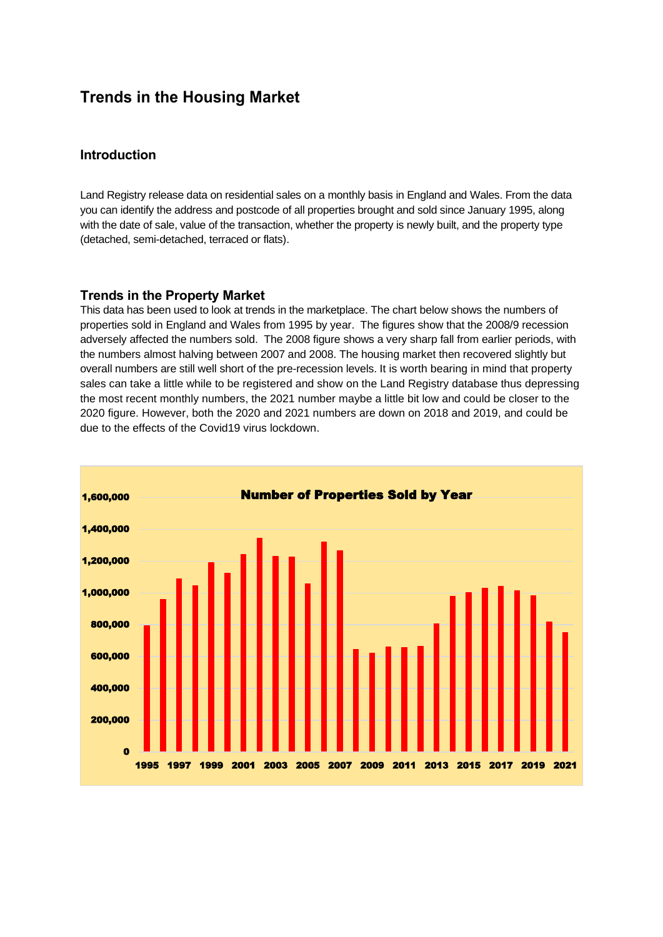## **Trends in the Housing Market**

## **Introduction**

Land Registry release data on residential sales on a monthly basis in England and Wales. From the data you can identify the address and postcode of all properties brought and sold since January 1995, along with the date of sale, value of the transaction, whether the property is newly built, and the property type (detached, semi-detached, terraced or flats).

## **Trends in the Property Market**

This data has been used to look at trends in the marketplace. The chart below shows the numbers of properties sold in England and Wales from 1995 by year. The figures show that the 2008/9 recession adversely affected the numbers sold. The 2008 figure shows a very sharp fall from earlier periods, with the numbers almost halving between 2007 and 2008. The housing market then recovered slightly but overall numbers are still well short of the pre-recession levels. It is worth bearing in mind that property sales can take a little while to be registered and show on the Land Registry database thus depressing the most recent monthly numbers, the 2021 number maybe a little bit low and could be closer to the 2020 figure. However, both the 2020 and 2021 numbers are down on 2018 and 2019, and could be due to the effects of the Covid19 virus lockdown.

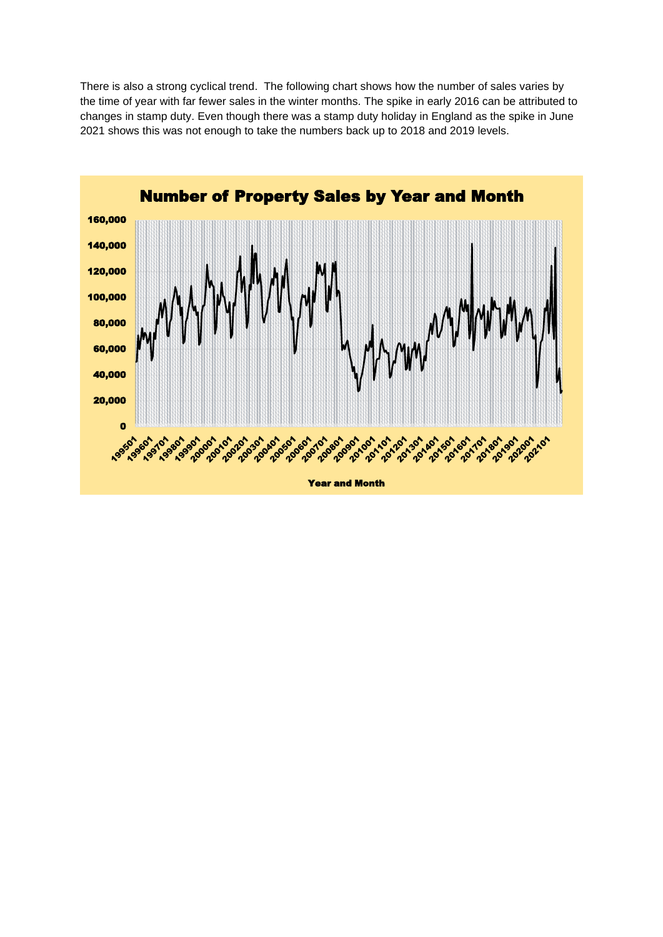There is also a strong cyclical trend. The following chart shows how the number of sales varies by the time of year with far fewer sales in the winter months. The spike in early 2016 can be attributed to changes in stamp duty. Even though there was a stamp duty holiday in England as the spike in June 2021 shows this was not enough to take the numbers back up to 2018 and 2019 levels.

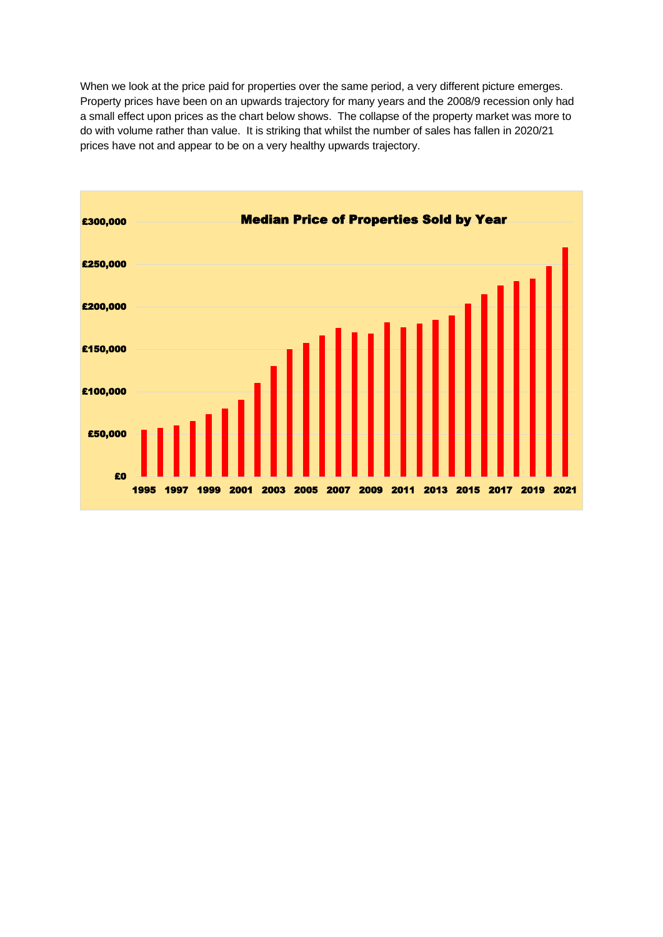When we look at the price paid for properties over the same period, a very different picture emerges. Property prices have been on an upwards trajectory for many years and the 2008/9 recession only had a small effect upon prices as the chart below shows. The collapse of the property market was more to do with volume rather than value. It is striking that whilst the number of sales has fallen in 2020/21 prices have not and appear to be on a very healthy upwards trajectory.

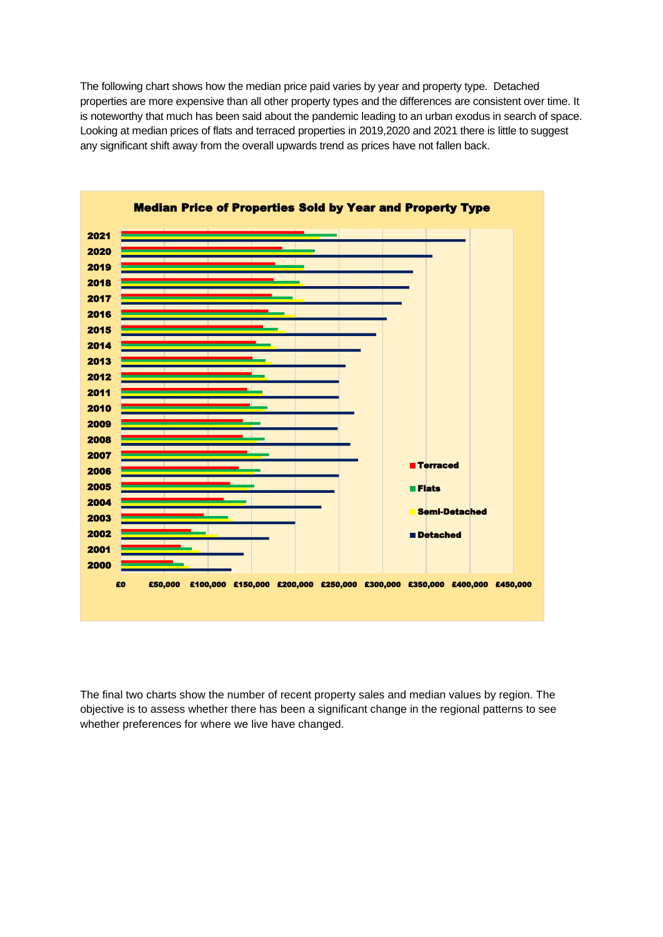The following chart shows how the median price paid varies by year and property type. Detached properties are more expensive than all other property types and the differences are consistent over time. It is noteworthy that much has been said about the pandemic leading to an urban exodus in search of space. Looking at median prices of flats and terraced properties in 2019,2020 and 2021 there is little to suggest any significant shift away from the overall upwards trend as prices have not fallen back.





The final two charts show the number of recent property sales and median values by region. The objective is to assess whether there has been a significant change in the regional patterns to see whether preferences for where we live have changed.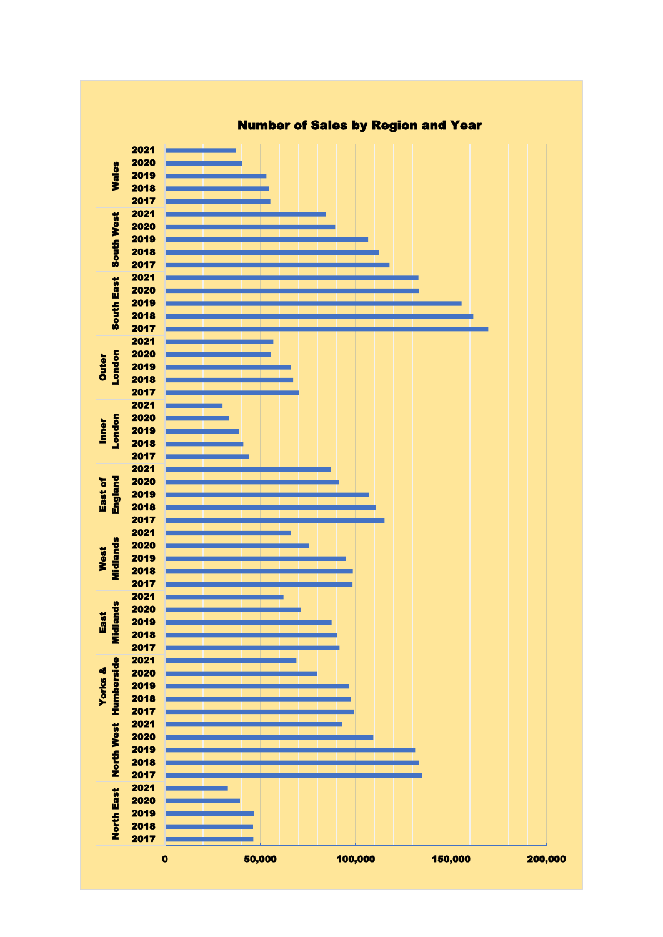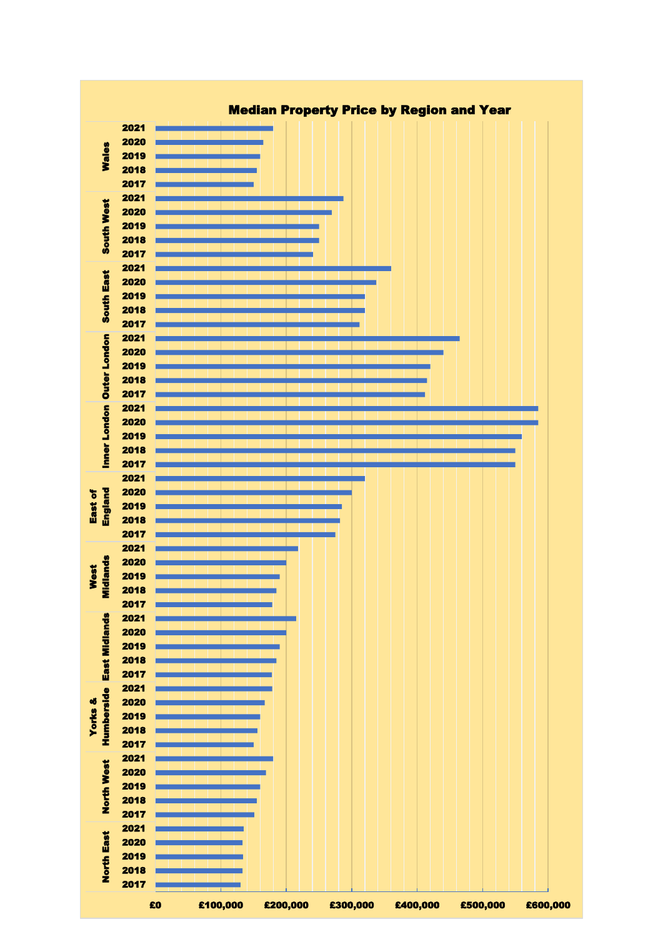